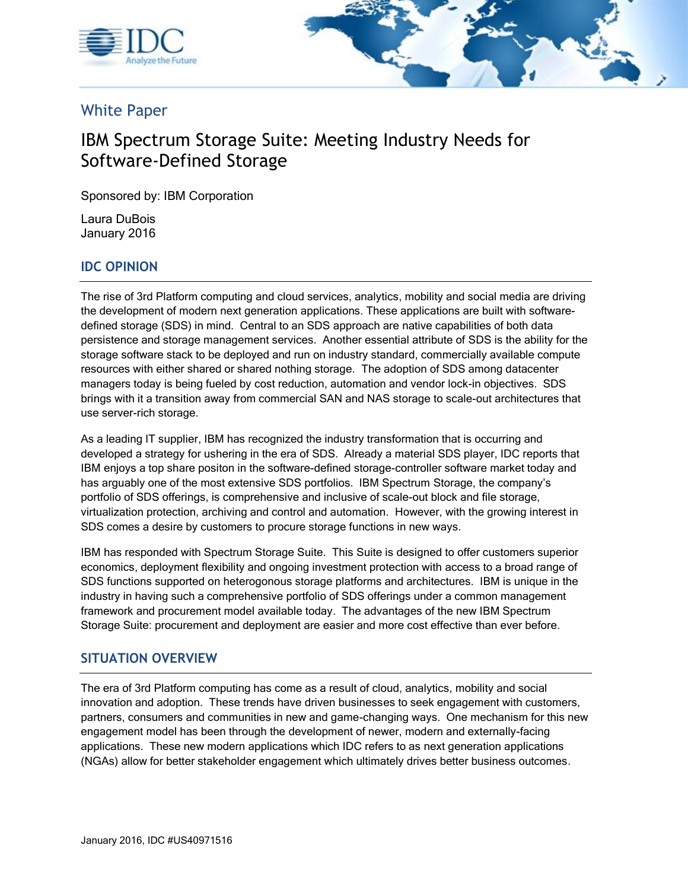



# White Paper

# IBM Spectrum Storage Suite: Meeting Industry Needs for Software-Defined Storage

Sponsored by: IBM Corporation

Laura DuBois January 2016

## **IDC OPINION**

The rise of 3rd Platform computing and cloud services, analytics, mobility and social media are driving the development of modern next generation applications. These applications are built with softwaredefined storage (SDS) in mind. Central to an SDS approach are native capabilities of both data persistence and storage management services. Another essential attribute of SDS is the ability for the storage software stack to be deployed and run on industry standard, commercially available compute resources with either shared or shared nothing storage. The adoption of SDS among datacenter managers today is being fueled by cost reduction, automation and vendor lock-in objectives. SDS brings with it a transition away from commercial SAN and NAS storage to scale-out architectures that use server-rich storage.

As a leading IT supplier, IBM has recognized the industry transformation that is occurring and developed a strategy for ushering in the era of SDS. Already a material SDS player, IDC reports that IBM enjoys a top share positon in the software-defined storage-controller software market today and has arguably one of the most extensive SDS portfolios. IBM Spectrum Storage, the company's portfolio of SDS offerings, is comprehensive and inclusive of scale-out block and file storage, virtualization protection, archiving and control and automation. However, with the growing interest in SDS comes a desire by customers to procure storage functions in new ways.

IBM has responded with Spectrum Storage Suite. This Suite is designed to offer customers superior economics, deployment flexibility and ongoing investment protection with access to a broad range of SDS functions supported on heterogonous storage platforms and architectures. IBM is unique in the industry in having such a comprehensive portfolio of SDS offerings under a common management framework and procurement model available today. The advantages of the new IBM Spectrum Storage Suite: procurement and deployment are easier and more cost effective than ever before.

#### **SITUATION OVERVIEW**

The era of 3rd Platform computing has come as a result of cloud, analytics, mobility and social innovation and adoption. These trends have driven businesses to seek engagement with customers, partners, consumers and communities in new and game-changing ways. One mechanism for this new engagement model has been through the development of newer, modern and externally-facing applications. These new modern applications which IDC refers to as next generation applications (NGAs) allow for better stakeholder engagement which ultimately drives better business outcomes.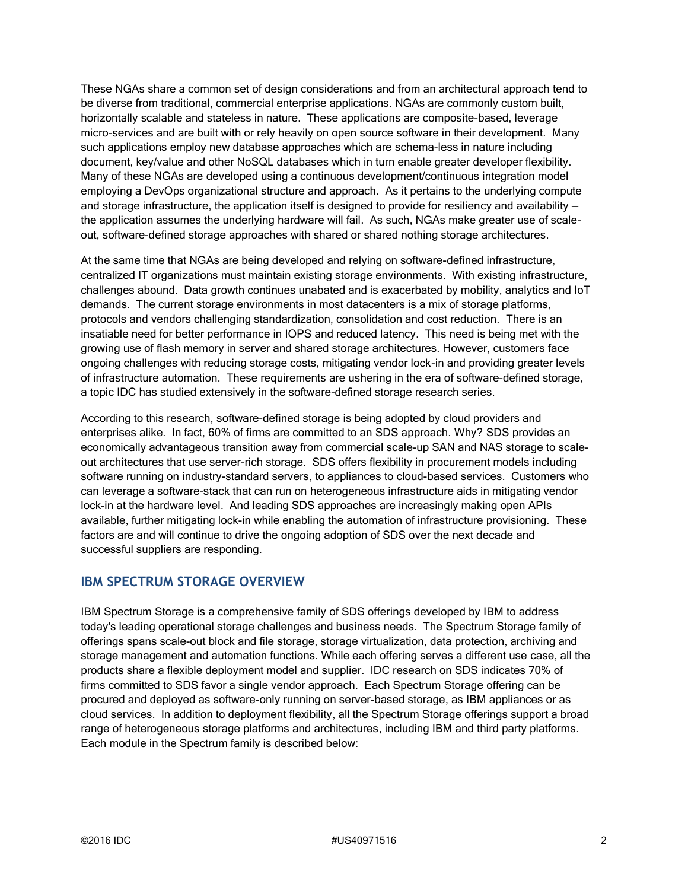These NGAs share a common set of design considerations and from an architectural approach tend to be diverse from traditional, commercial enterprise applications. NGAs are commonly custom built, horizontally scalable and stateless in nature. These applications are composite-based, leverage micro-services and are built with or rely heavily on open source software in their development. Many such applications employ new database approaches which are schema-less in nature including document, key/value and other NoSQL databases which in turn enable greater developer flexibility. Many of these NGAs are developed using a continuous development/continuous integration model employing a DevOps organizational structure and approach. As it pertains to the underlying compute and storage infrastructure, the application itself is designed to provide for resiliency and availability – the application assumes the underlying hardware will fail. As such, NGAs make greater use of scaleout, software-defined storage approaches with shared or shared nothing storage architectures.

At the same time that NGAs are being developed and relying on software-defined infrastructure, centralized IT organizations must maintain existing storage environments. With existing infrastructure, challenges abound. Data growth continues unabated and is exacerbated by mobility, analytics and IoT demands. The current storage environments in most datacenters is a mix of storage platforms, protocols and vendors challenging standardization, consolidation and cost reduction. There is an insatiable need for better performance in IOPS and reduced latency. This need is being met with the growing use of flash memory in server and shared storage architectures. However, customers face ongoing challenges with reducing storage costs, mitigating vendor lock-in and providing greater levels of infrastructure automation. These requirements are ushering in the era of software-defined storage, a topic IDC has studied extensively in the software-defined storage research series.

According to this research, software-defined storage is being adopted by cloud providers and enterprises alike. In fact, 60% of firms are committed to an SDS approach. Why? SDS provides an economically advantageous transition away from commercial scale-up SAN and NAS storage to scaleout architectures that use server-rich storage. SDS offers flexibility in procurement models including software running on industry-standard servers, to appliances to cloud-based services. Customers who can leverage a software-stack that can run on heterogeneous infrastructure aids in mitigating vendor lock-in at the hardware level. And leading SDS approaches are increasingly making open APIs available, further mitigating lock-in while enabling the automation of infrastructure provisioning. These factors are and will continue to drive the ongoing adoption of SDS over the next decade and successful suppliers are responding.

#### **IBM SPECTRUM STORAGE OVERVIEW**

IBM Spectrum Storage is a comprehensive family of SDS offerings developed by IBM to address today's leading operational storage challenges and business needs. The Spectrum Storage family of offerings spans scale-out block and file storage, storage virtualization, data protection, archiving and storage management and automation functions. While each offering serves a different use case, all the products share a flexible deployment model and supplier. IDC research on SDS indicates 70% of firms committed to SDS favor a single vendor approach. Each Spectrum Storage offering can be procured and deployed as software-only running on server-based storage, as IBM appliances or as cloud services. In addition to deployment flexibility, all the Spectrum Storage offerings support a broad range of heterogeneous storage platforms and architectures, including IBM and third party platforms. Each module in the Spectrum family is described below: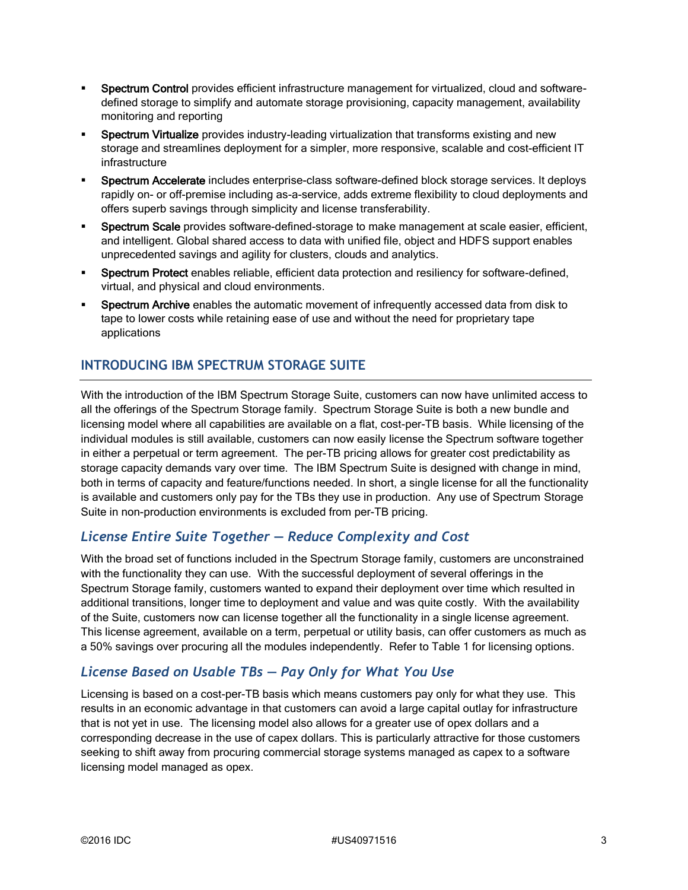- Spectrum Control provides efficient infrastructure management for virtualized, cloud and softwaredefined storage to simplify and automate storage provisioning, capacity management, availability monitoring and reporting
- Spectrum Virtualize provides industry-leading virtualization that transforms existing and new storage and streamlines deployment for a simpler, more responsive, scalable and cost-efficient IT infrastructure
- Spectrum Accelerate includes enterprise-class software-defined block storage services. It deploys rapidly on- or off-premise including as-a-service, adds extreme flexibility to cloud deployments and offers superb savings through simplicity and license transferability.
- Spectrum Scale provides software-defined-storage to make management at scale easier, efficient, and intelligent. Global shared access to data with unified file, object and HDFS support enables unprecedented savings and agility for clusters, clouds and analytics.
- Spectrum Protect enables reliable, efficient data protection and resiliency for software-defined, virtual, and physical and cloud environments.
- Spectrum Archive enables the automatic movement of infrequently accessed data from disk to tape to lower costs while retaining ease of use and without the need for proprietary tape applications

# **INTRODUCING IBM SPECTRUM STORAGE SUITE**

With the introduction of the IBM Spectrum Storage Suite, customers can now have unlimited access to all the offerings of the Spectrum Storage family. Spectrum Storage Suite is both a new bundle and licensing model where all capabilities are available on a flat, cost-per-TB basis. While licensing of the individual modules is still available, customers can now easily license the Spectrum software together in either a perpetual or term agreement. The per-TB pricing allows for greater cost predictability as storage capacity demands vary over time. The IBM Spectrum Suite is designed with change in mind, both in terms of capacity and feature/functions needed. In short, a single license for all the functionality is available and customers only pay for the TBs they use in production. Any use of Spectrum Storage Suite in non-production environments is excluded from per-TB pricing.

#### *License Entire Suite Together — Reduce Complexity and Cost*

With the broad set of functions included in the Spectrum Storage family, customers are unconstrained with the functionality they can use. With the successful deployment of several offerings in the Spectrum Storage family, customers wanted to expand their deployment over time which resulted in additional transitions, longer time to deployment and value and was quite costly. With the availability of the Suite, customers now can license together all the functionality in a single license agreement. This license agreement, available on a term, perpetual or utility basis, can offer customers as much as a 50% savings over procuring all the modules independently. Refer to Table 1 for licensing options.

# *License Based on Usable TBs — Pay Only for What You Use*

Licensing is based on a cost-per-TB basis which means customers pay only for what they use. This results in an economic advantage in that customers can avoid a large capital outlay for infrastructure that is not yet in use. The licensing model also allows for a greater use of opex dollars and a corresponding decrease in the use of capex dollars. This is particularly attractive for those customers seeking to shift away from procuring commercial storage systems managed as capex to a software licensing model managed as opex.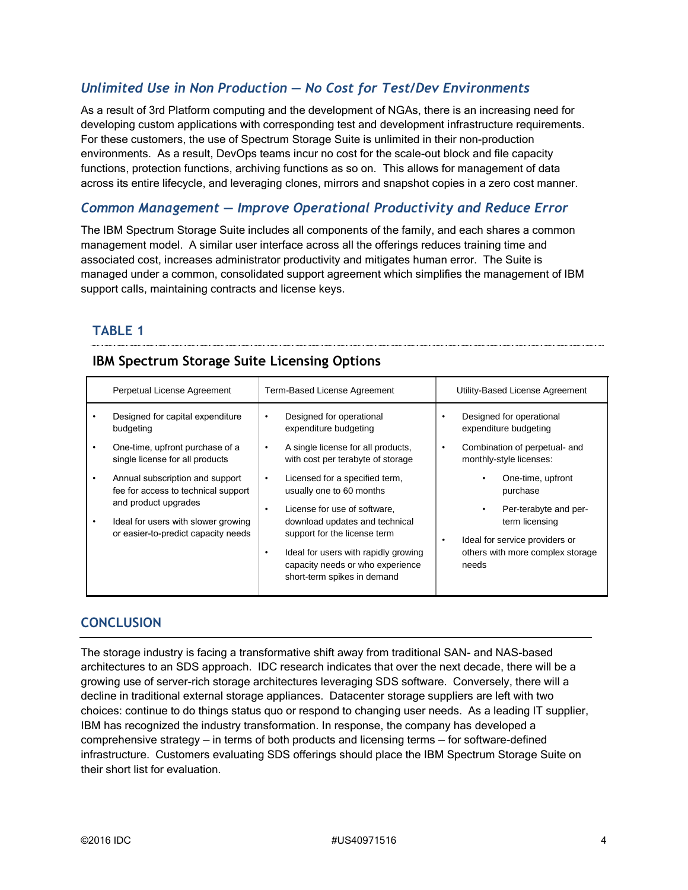## *Unlimited Use in Non Production — No Cost for Test/Dev Environments*

As a result of 3rd Platform computing and the development of NGAs, there is an increasing need for developing custom applications with corresponding test and development infrastructure requirements. For these customers, the use of Spectrum Storage Suite is unlimited in their non-production environments. As a result, DevOps teams incur no cost for the scale-out block and file capacity functions, protection functions, archiving functions as so on. This allows for management of data across its entire lifecycle, and leveraging clones, mirrors and snapshot copies in a zero cost manner.

#### *Common Management — Improve Operational Productivity and Reduce Error*

The IBM Spectrum Storage Suite includes all components of the family, and each shares a common management model. A similar user interface across all the offerings reduces training time and associated cost, increases administrator productivity and mitigates human error. The Suite is managed under a common, consolidated support agreement which simplifies the management of IBM support calls, maintaining contracts and license keys.

## **TABLE 1**

#### **IBM Spectrum Storage Suite Licensing Options**

|   | Perpetual License Agreement                                                                    | Term-Based License Agreement                                                                                | Utility-Based License Agreement                                                |
|---|------------------------------------------------------------------------------------------------|-------------------------------------------------------------------------------------------------------------|--------------------------------------------------------------------------------|
|   | Designed for capital expenditure<br>budgeting                                                  | Designed for operational<br>٠<br>expenditure budgeting                                                      | Designed for operational<br>٠<br>expenditure budgeting                         |
|   | One-time, upfront purchase of a<br>single license for all products                             | A single license for all products,<br>$\bullet$<br>with cost per terabyte of storage                        | Combination of perpetual- and<br>٠<br>monthly-style licenses:                  |
|   | Annual subscription and support<br>fee for access to technical support<br>and product upgrades | Licensed for a specified term,<br>$\bullet$<br>usually one to 60 months                                     | One-time, upfront<br>purchase                                                  |
| ٠ | Ideal for users with slower growing<br>or easier-to-predict capacity needs                     | License for use of software.<br>$\bullet$<br>download updates and technical<br>support for the license term | Per-terabyte and per-<br>term licensing<br>Ideal for service providers or<br>٠ |
|   | ٠                                                                                              | Ideal for users with rapidly growing<br>capacity needs or who experience<br>short-term spikes in demand     | others with more complex storage<br>needs                                      |

#### **CONCLUSION**

The storage industry is facing a transformative shift away from traditional SAN- and NAS-based architectures to an SDS approach. IDC research indicates that over the next decade, there will be a growing use of server-rich storage architectures leveraging SDS software. Conversely, there will a decline in traditional external storage appliances. Datacenter storage suppliers are left with two choices: continue to do things status quo or respond to changing user needs. As a leading IT supplier, IBM has recognized the industry transformation. In response, the company has developed a comprehensive strategy — in terms of both products and licensing terms — for software-defined infrastructure. Customers evaluating SDS offerings should place the IBM Spectrum Storage Suite on their short list for evaluation.